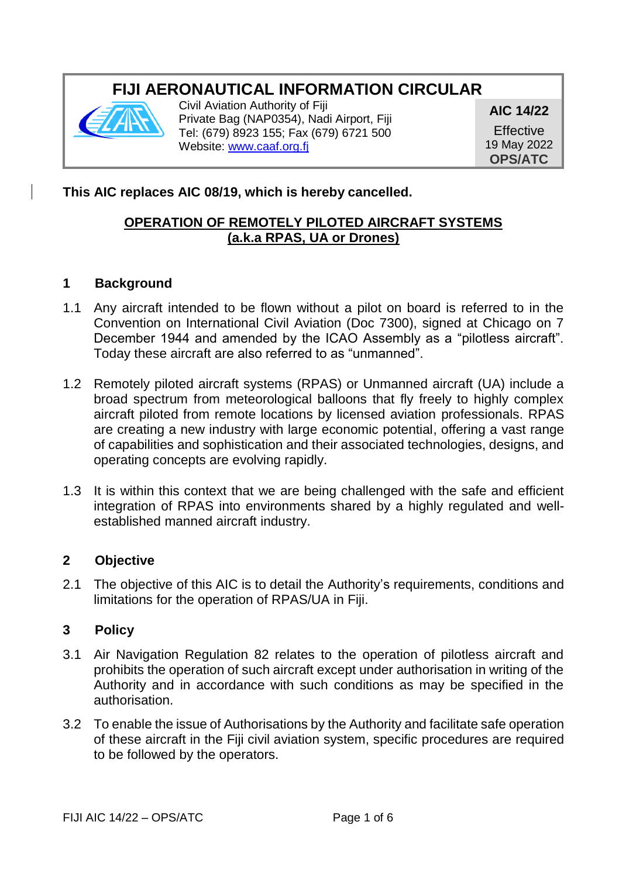# **FIJI AERONAUTICAL INFORMATION CIRCULAR**



Civil Aviation Authority of Fiji Private Bag (NAP0354), Nadi Airport, Fiji Tel: (679) 8923 155; Fax (679) 6721 500 Website[: www.caaf.org.fj](http://www.caaf.org.fj/)

**AIC 14/22 Effective** 19 May 2022 **OPS/ATC**

# **This AIC replaces AIC 08/19, which is hereby cancelled.**

## **OPERATION OF REMOTELY PILOTED AIRCRAFT SYSTEMS (a.k.a RPAS, UA or Drones)**

#### **1 Background**

- 1.1 Any aircraft intended to be flown without a pilot on board is referred to in the Convention on International Civil Aviation (Doc 7300), signed at Chicago on 7 December 1944 and amended by the ICAO Assembly as a "pilotless aircraft". Today these aircraft are also referred to as "unmanned".
- 1.2 Remotely piloted aircraft systems (RPAS) or Unmanned aircraft (UA) include a broad spectrum from meteorological balloons that fly freely to highly complex aircraft piloted from remote locations by licensed aviation professionals. RPAS are creating a new industry with large economic potential, offering a vast range of capabilities and sophistication and their associated technologies, designs, and operating concepts are evolving rapidly.
- 1.3 It is within this context that we are being challenged with the safe and efficient integration of RPAS into environments shared by a highly regulated and wellestablished manned aircraft industry.

#### **2 Objective**

2.1 The objective of this AIC is to detail the Authority's requirements, conditions and limitations for the operation of RPAS/UA in Fiji.

#### **3 Policy**

- 3.1 Air Navigation Regulation 82 relates to the operation of pilotless aircraft and prohibits the operation of such aircraft except under authorisation in writing of the Authority and in accordance with such conditions as may be specified in the authorisation.
- 3.2 To enable the issue of Authorisations by the Authority and facilitate safe operation of these aircraft in the Fiji civil aviation system, specific procedures are required to be followed by the operators.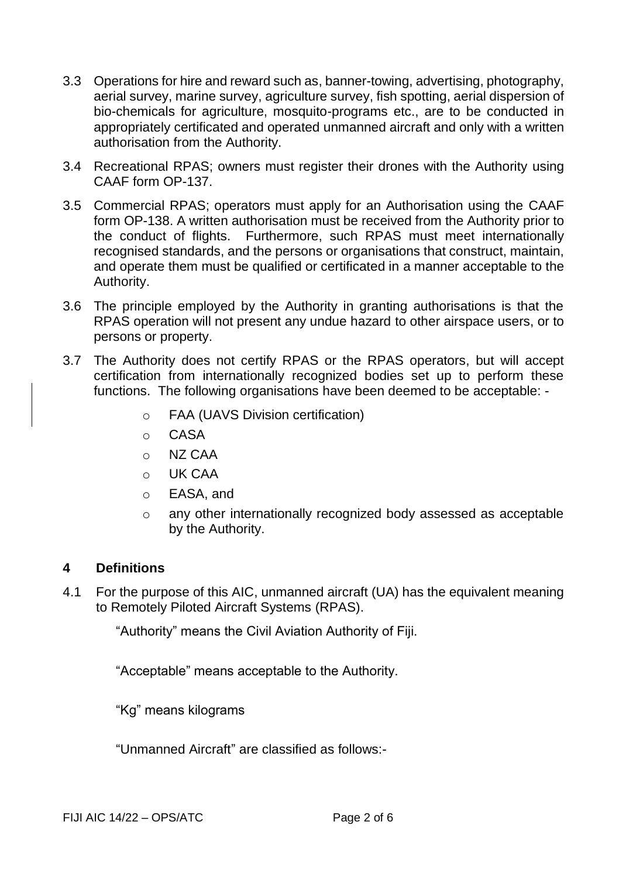- 3.3 Operations for hire and reward such as, banner-towing, advertising, photography, aerial survey, marine survey, agriculture survey, fish spotting, aerial dispersion of bio-chemicals for agriculture, mosquito-programs etc., are to be conducted in appropriately certificated and operated unmanned aircraft and only with a written authorisation from the Authority.
- 3.4 Recreational RPAS; owners must register their drones with the Authority using CAAF form OP-137.
- 3.5 Commercial RPAS; operators must apply for an Authorisation using the CAAF form OP-138. A written authorisation must be received from the Authority prior to the conduct of flights. Furthermore, such RPAS must meet internationally recognised standards, and the persons or organisations that construct, maintain, and operate them must be qualified or certificated in a manner acceptable to the Authority.
- 3.6 The principle employed by the Authority in granting authorisations is that the RPAS operation will not present any undue hazard to other airspace users, or to persons or property.
- 3.7 The Authority does not certify RPAS or the RPAS operators, but will accept certification from internationally recognized bodies set up to perform these functions. The following organisations have been deemed to be acceptable:
	- o FAA (UAVS Division certification)
	- o CASA
	- o NZ CAA
	- $O$  UK CAA
	- o EASA, and
	- o any other internationally recognized body assessed as acceptable by the Authority.

#### **4 Definitions**

4.1 For the purpose of this AIC, unmanned aircraft (UA) has the equivalent meaning to Remotely Piloted Aircraft Systems (RPAS).

"Authority" means the Civil Aviation Authority of Fiji.

"Acceptable" means acceptable to the Authority.

"Kg" means kilograms

"Unmanned Aircraft" are classified as follows:-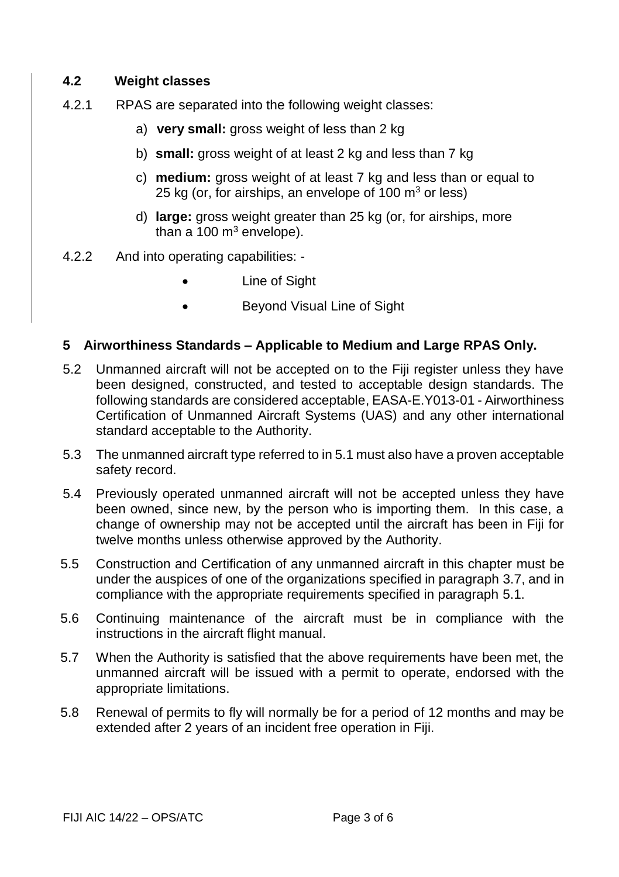#### **4.2 Weight classes**

- 4.2.1 RPAS are separated into the following weight classes:
	- a) **very small:** gross weight of less than 2 kg
	- b) **small:** gross weight of at least 2 kg and less than 7 kg
	- c) **medium:** gross weight of at least 7 kg and less than or equal to 25 kg (or, for airships, an envelope of  $100 \text{ m}^3$  or less)
	- d) **large:** gross weight greater than 25 kg (or, for airships, more than a  $100 \text{ m}^3$  envelope).
- 4.2.2 And into operating capabilities:
	- Line of Sight
	- Bevond Visual Line of Sight

#### **5 Airworthiness Standards – Applicable to Medium and Large RPAS Only.**

- 5.2 Unmanned aircraft will not be accepted on to the Fiji register unless they have been designed, constructed, and tested to acceptable design standards. The following standards are considered acceptable, EASA-E.Y013-01 - Airworthiness Certification of Unmanned Aircraft Systems (UAS) and any other international standard acceptable to the Authority.
- 5.3 The unmanned aircraft type referred to in 5.1 must also have a proven acceptable safety record.
- 5.4 Previously operated unmanned aircraft will not be accepted unless they have been owned, since new, by the person who is importing them. In this case, a change of ownership may not be accepted until the aircraft has been in Fiji for twelve months unless otherwise approved by the Authority.
- 5.5 Construction and Certification of any unmanned aircraft in this chapter must be under the auspices of one of the organizations specified in paragraph 3.7, and in compliance with the appropriate requirements specified in paragraph 5.1.
- 5.6 Continuing maintenance of the aircraft must be in compliance with the instructions in the aircraft flight manual.
- 5.7 When the Authority is satisfied that the above requirements have been met, the unmanned aircraft will be issued with a permit to operate, endorsed with the appropriate limitations.
- 5.8 Renewal of permits to fly will normally be for a period of 12 months and may be extended after 2 years of an incident free operation in Fiji.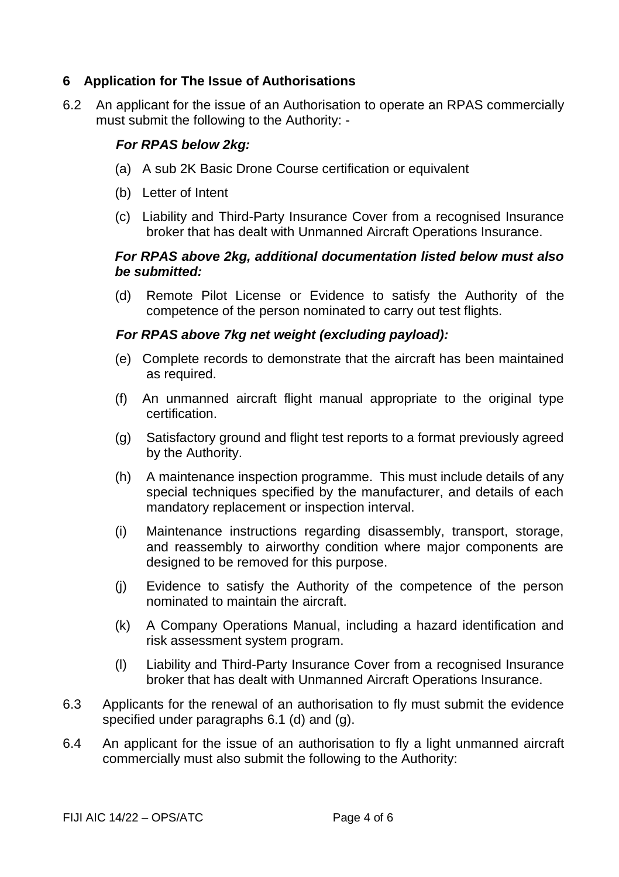## **6 Application for The Issue of Authorisations**

6.2 An applicant for the issue of an Authorisation to operate an RPAS commercially must submit the following to the Authority: -

## *For RPAS below 2kg:*

- (a) A sub 2K Basic Drone Course certification or equivalent
- (b) Letter of Intent
- (c) Liability and Third-Party Insurance Cover from a recognised Insurance broker that has dealt with Unmanned Aircraft Operations Insurance.

## *For RPAS above 2kg, additional documentation listed below must also be submitted:*

(d) Remote Pilot License or Evidence to satisfy the Authority of the competence of the person nominated to carry out test flights.

## *For RPAS above 7kg net weight (excluding payload):*

- (e) Complete records to demonstrate that the aircraft has been maintained as required.
- (f) An unmanned aircraft flight manual appropriate to the original type certification.
- (g) Satisfactory ground and flight test reports to a format previously agreed by the Authority.
- (h) A maintenance inspection programme. This must include details of any special techniques specified by the manufacturer, and details of each mandatory replacement or inspection interval.
- (i) Maintenance instructions regarding disassembly, transport, storage, and reassembly to airworthy condition where major components are designed to be removed for this purpose.
- (j) Evidence to satisfy the Authority of the competence of the person nominated to maintain the aircraft.
- (k) A Company Operations Manual, including a hazard identification and risk assessment system program.
- (l) Liability and Third-Party Insurance Cover from a recognised Insurance broker that has dealt with Unmanned Aircraft Operations Insurance.
- 6.3 Applicants for the renewal of an authorisation to fly must submit the evidence specified under paragraphs 6.1 (d) and (g).
- 6.4 An applicant for the issue of an authorisation to fly a light unmanned aircraft commercially must also submit the following to the Authority: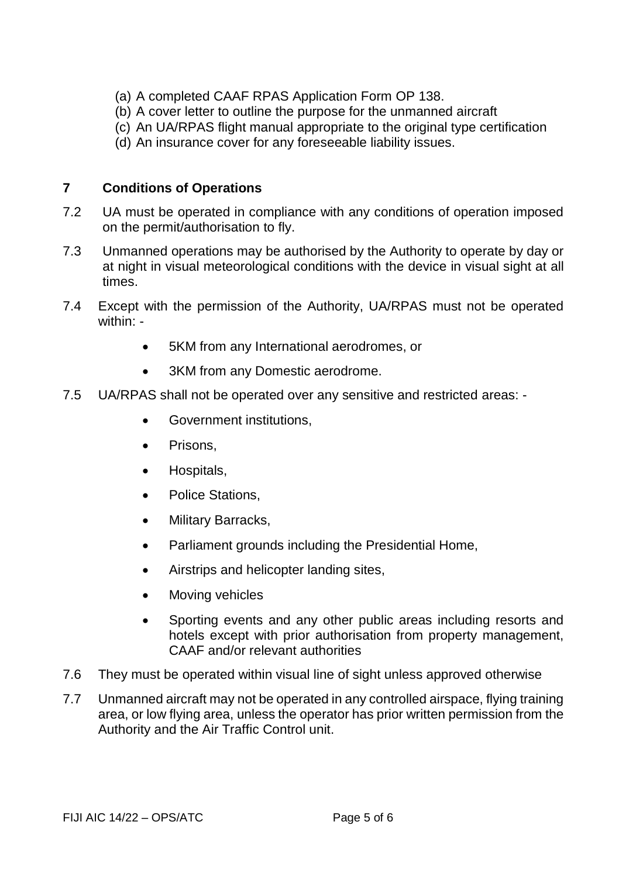- (a) A completed CAAF RPAS Application Form OP 138.
- (b) A cover letter to outline the purpose for the unmanned aircraft
- (c) An UA/RPAS flight manual appropriate to the original type certification
- (d) An insurance cover for any foreseeable liability issues.

## **7 Conditions of Operations**

- 7.2 UA must be operated in compliance with any conditions of operation imposed on the permit/authorisation to fly.
- 7.3 Unmanned operations may be authorised by the Authority to operate by day or at night in visual meteorological conditions with the device in visual sight at all times.
- 7.4 Except with the permission of the Authority, UA/RPAS must not be operated within: -
	- 5KM from any International aerodromes, or
	- 3KM from any Domestic aerodrome.
- 7.5 UA/RPAS shall not be operated over any sensitive and restricted areas:
	- Government institutions,
	- Prisons,
	- Hospitals,
	- Police Stations,
	- Military Barracks,
	- Parliament grounds including the Presidential Home,
	- Airstrips and helicopter landing sites,
	- Moving vehicles
	- Sporting events and any other public areas including resorts and hotels except with prior authorisation from property management, CAAF and/or relevant authorities
- 7.6 They must be operated within visual line of sight unless approved otherwise
- 7.7 Unmanned aircraft may not be operated in any controlled airspace, flying training area, or low flying area, unless the operator has prior written permission from the Authority and the Air Traffic Control unit.